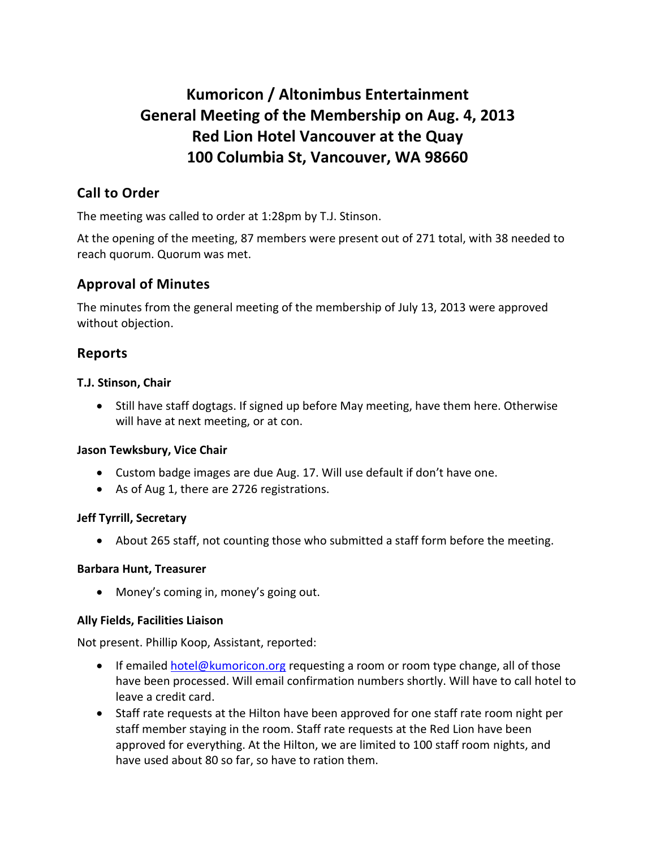# **Kumoricon / Altonimbus Entertainment General Meeting of the Membership on Aug. 4, 2013 Red Lion Hotel Vancouver at the Quay 100 Columbia St, Vancouver, WA 98660**

# **Call to Order**

The meeting was called to order at 1:28pm by T.J. Stinson.

At the opening of the meeting, 87 members were present out of 271 total, with 38 needed to reach quorum. Quorum was met.

## **Approval of Minutes**

The minutes from the general meeting of the membership of July 13, 2013 were approved without objection.

## **Reports**

#### **T.J. Stinson, Chair**

• Still have staff dogtags. If signed up before May meeting, have them here. Otherwise will have at next meeting, or at con.

#### **Jason Tewksbury, Vice Chair**

- Custom badge images are due Aug. 17. Will use default if don't have one.
- As of Aug 1, there are 2726 registrations.

#### **Jeff Tyrrill, Secretary**

About 265 staff, not counting those who submitted a staff form before the meeting.

#### **Barbara Hunt, Treasurer**

Money's coming in, money's going out.

#### **Ally Fields, Facilities Liaison**

Not present. Phillip Koop, Assistant, reported:

- **If emailed [hotel@kumoricon.org](mailto:hotel@kumoricon.org) requesting a room or room type change, all of those** have been processed. Will email confirmation numbers shortly. Will have to call hotel to leave a credit card.
- Staff rate requests at the Hilton have been approved for one staff rate room night per staff member staying in the room. Staff rate requests at the Red Lion have been approved for everything. At the Hilton, we are limited to 100 staff room nights, and have used about 80 so far, so have to ration them.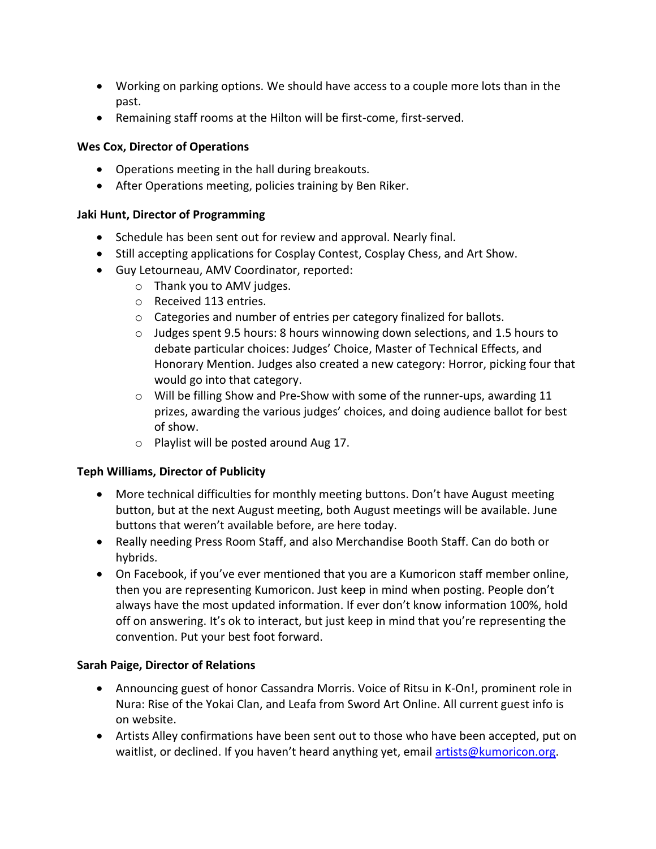- Working on parking options. We should have access to a couple more lots than in the past.
- Remaining staff rooms at the Hilton will be first-come, first-served.

#### **Wes Cox, Director of Operations**

- Operations meeting in the hall during breakouts.
- After Operations meeting, policies training by Ben Riker.

#### **Jaki Hunt, Director of Programming**

- Schedule has been sent out for review and approval. Nearly final.
- Still accepting applications for Cosplay Contest, Cosplay Chess, and Art Show.
- Guy Letourneau, AMV Coordinator, reported:
	- o Thank you to AMV judges.
	- o Received 113 entries.
	- o Categories and number of entries per category finalized for ballots.
	- $\circ$  Judges spent 9.5 hours: 8 hours winnowing down selections, and 1.5 hours to debate particular choices: Judges' Choice, Master of Technical Effects, and Honorary Mention. Judges also created a new category: Horror, picking four that would go into that category.
	- $\circ$  Will be filling Show and Pre-Show with some of the runner-ups, awarding 11 prizes, awarding the various judges' choices, and doing audience ballot for best of show.
	- o Playlist will be posted around Aug 17.

#### **Teph Williams, Director of Publicity**

- More technical difficulties for monthly meeting buttons. Don't have August meeting button, but at the next August meeting, both August meetings will be available. June buttons that weren't available before, are here today.
- Really needing Press Room Staff, and also Merchandise Booth Staff. Can do both or hybrids.
- On Facebook, if you've ever mentioned that you are a Kumoricon staff member online, then you are representing Kumoricon. Just keep in mind when posting. People don't always have the most updated information. If ever don't know information 100%, hold off on answering. It's ok to interact, but just keep in mind that you're representing the convention. Put your best foot forward.

### **Sarah Paige, Director of Relations**

- Announcing guest of honor Cassandra Morris. Voice of Ritsu in K-On!, prominent role in Nura: Rise of the Yokai Clan, and Leafa from Sword Art Online. All current guest info is on website.
- Artists Alley confirmations have been sent out to those who have been accepted, put on waitlist, or declined. If you haven't heard anything yet, email [artists@kumoricon.org.](mailto:artists@kumoricon.org)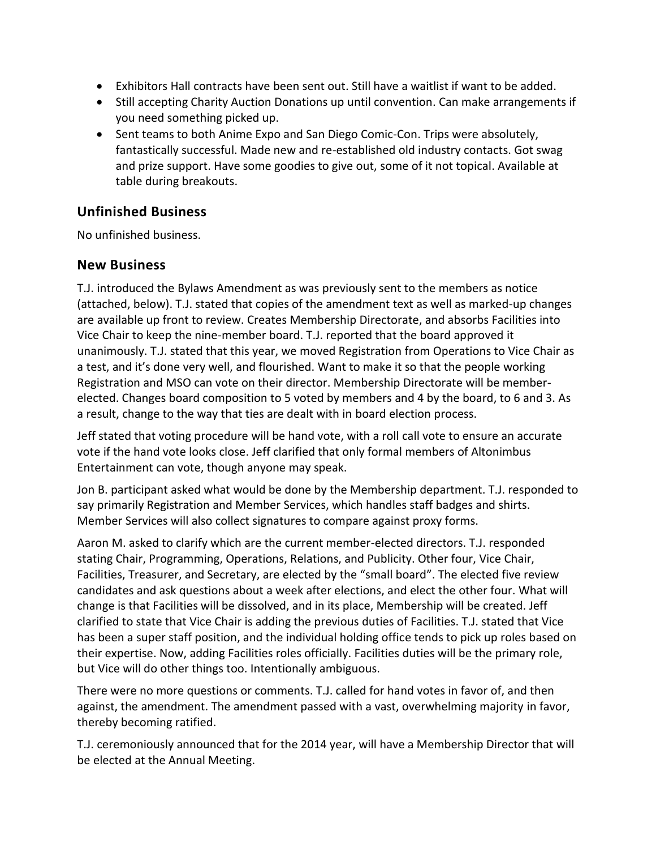- Exhibitors Hall contracts have been sent out. Still have a waitlist if want to be added.
- Still accepting Charity Auction Donations up until convention. Can make arrangements if you need something picked up.
- Sent teams to both Anime Expo and San Diego Comic-Con. Trips were absolutely, fantastically successful. Made new and re-established old industry contacts. Got swag and prize support. Have some goodies to give out, some of it not topical. Available at table during breakouts.

# **Unfinished Business**

No unfinished business.

### **New Business**

T.J. introduced the Bylaws Amendment as was previously sent to the members as notice (attached, below). T.J. stated that copies of the amendment text as well as marked-up changes are available up front to review. Creates Membership Directorate, and absorbs Facilities into Vice Chair to keep the nine-member board. T.J. reported that the board approved it unanimously. T.J. stated that this year, we moved Registration from Operations to Vice Chair as a test, and it's done very well, and flourished. Want to make it so that the people working Registration and MSO can vote on their director. Membership Directorate will be memberelected. Changes board composition to 5 voted by members and 4 by the board, to 6 and 3. As a result, change to the way that ties are dealt with in board election process.

Jeff stated that voting procedure will be hand vote, with a roll call vote to ensure an accurate vote if the hand vote looks close. Jeff clarified that only formal members of Altonimbus Entertainment can vote, though anyone may speak.

Jon B. participant asked what would be done by the Membership department. T.J. responded to say primarily Registration and Member Services, which handles staff badges and shirts. Member Services will also collect signatures to compare against proxy forms.

Aaron M. asked to clarify which are the current member-elected directors. T.J. responded stating Chair, Programming, Operations, Relations, and Publicity. Other four, Vice Chair, Facilities, Treasurer, and Secretary, are elected by the "small board". The elected five review candidates and ask questions about a week after elections, and elect the other four. What will change is that Facilities will be dissolved, and in its place, Membership will be created. Jeff clarified to state that Vice Chair is adding the previous duties of Facilities. T.J. stated that Vice has been a super staff position, and the individual holding office tends to pick up roles based on their expertise. Now, adding Facilities roles officially. Facilities duties will be the primary role, but Vice will do other things too. Intentionally ambiguous.

There were no more questions or comments. T.J. called for hand votes in favor of, and then against, the amendment. The amendment passed with a vast, overwhelming majority in favor, thereby becoming ratified.

T.J. ceremoniously announced that for the 2014 year, will have a Membership Director that will be elected at the Annual Meeting.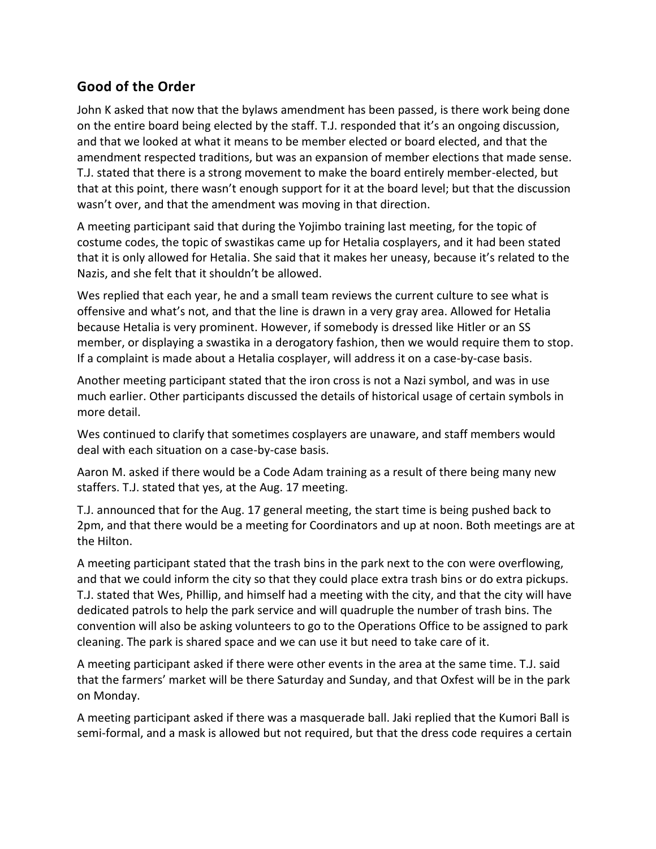# **Good of the Order**

John K asked that now that the bylaws amendment has been passed, is there work being done on the entire board being elected by the staff. T.J. responded that it's an ongoing discussion, and that we looked at what it means to be member elected or board elected, and that the amendment respected traditions, but was an expansion of member elections that made sense. T.J. stated that there is a strong movement to make the board entirely member-elected, but that at this point, there wasn't enough support for it at the board level; but that the discussion wasn't over, and that the amendment was moving in that direction.

A meeting participant said that during the Yojimbo training last meeting, for the topic of costume codes, the topic of swastikas came up for Hetalia cosplayers, and it had been stated that it is only allowed for Hetalia. She said that it makes her uneasy, because it's related to the Nazis, and she felt that it shouldn't be allowed.

Wes replied that each year, he and a small team reviews the current culture to see what is offensive and what's not, and that the line is drawn in a very gray area. Allowed for Hetalia because Hetalia is very prominent. However, if somebody is dressed like Hitler or an SS member, or displaying a swastika in a derogatory fashion, then we would require them to stop. If a complaint is made about a Hetalia cosplayer, will address it on a case-by-case basis.

Another meeting participant stated that the iron cross is not a Nazi symbol, and was in use much earlier. Other participants discussed the details of historical usage of certain symbols in more detail.

Wes continued to clarify that sometimes cosplayers are unaware, and staff members would deal with each situation on a case-by-case basis.

Aaron M. asked if there would be a Code Adam training as a result of there being many new staffers. T.J. stated that yes, at the Aug. 17 meeting.

T.J. announced that for the Aug. 17 general meeting, the start time is being pushed back to 2pm, and that there would be a meeting for Coordinators and up at noon. Both meetings are at the Hilton.

A meeting participant stated that the trash bins in the park next to the con were overflowing, and that we could inform the city so that they could place extra trash bins or do extra pickups. T.J. stated that Wes, Phillip, and himself had a meeting with the city, and that the city will have dedicated patrols to help the park service and will quadruple the number of trash bins. The convention will also be asking volunteers to go to the Operations Office to be assigned to park cleaning. The park is shared space and we can use it but need to take care of it.

A meeting participant asked if there were other events in the area at the same time. T.J. said that the farmers' market will be there Saturday and Sunday, and that Oxfest will be in the park on Monday.

A meeting participant asked if there was a masquerade ball. Jaki replied that the Kumori Ball is semi-formal, and a mask is allowed but not required, but that the dress code requires a certain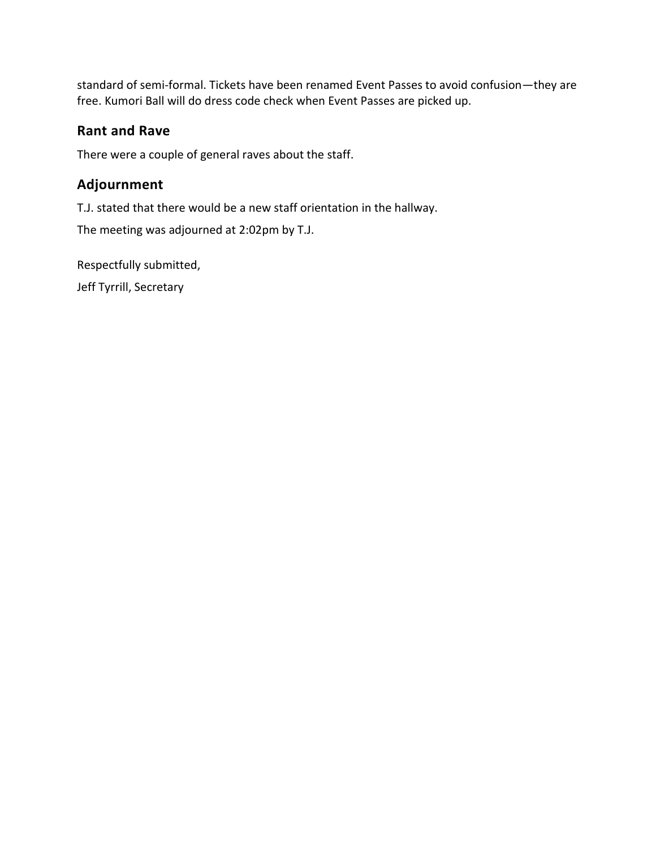standard of semi-formal. Tickets have been renamed Event Passes to avoid confusion—they are free. Kumori Ball will do dress code check when Event Passes are picked up.

# **Rant and Rave**

There were a couple of general raves about the staff.

# **Adjournment**

T.J. stated that there would be a new staff orientation in the hallway.

The meeting was adjourned at 2:02pm by T.J.

Respectfully submitted,

Jeff Tyrrill, Secretary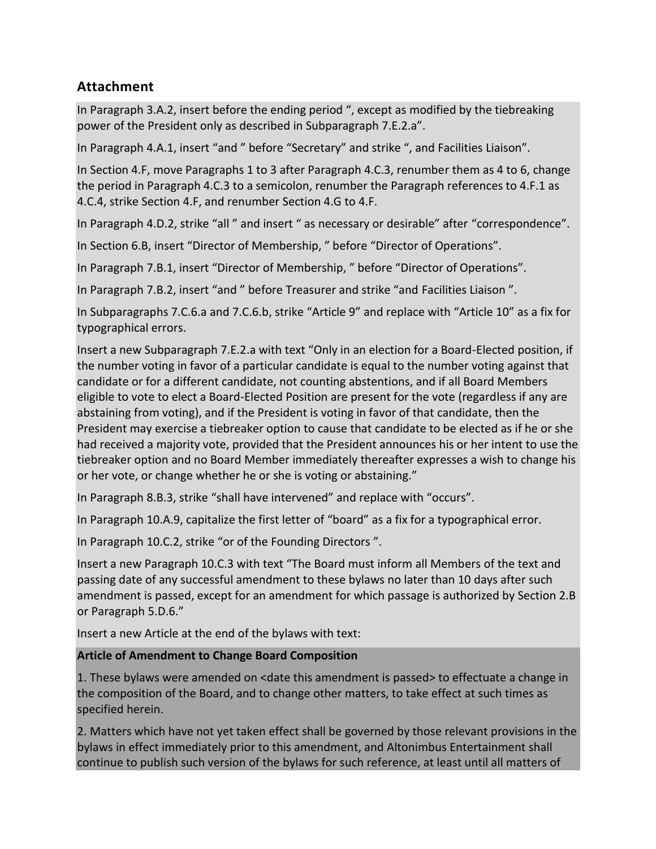# **Attachment**

In Paragraph 3.A.2, insert before the ending period ", except as modified by the tiebreaking power of the President only as described in Subparagraph 7.E.2.a".

In Paragraph 4.A.1, insert "and " before "Secretary" and strike ", and Facilities Liaison".

In Section 4.F, move Paragraphs 1 to 3 after Paragraph 4.C.3, renumber them as 4 to 6, change the period in Paragraph 4.C.3 to a semicolon, renumber the Paragraph references to 4.F.1 as 4.C.4, strike Section 4.F, and renumber Section 4.G to 4.F.

In Paragraph 4.D.2, strike "all " and insert " as necessary or desirable" after "correspondence".

In Section 6.B, insert "Director of Membership, " before "Director of Operations".

In Paragraph 7.B.1, insert "Director of Membership, " before "Director of Operations".

In Paragraph 7.B.2, insert "and " before Treasurer and strike "and Facilities Liaison ".

In Subparagraphs 7.C.6.a and 7.C.6.b, strike "Article 9" and replace with "Article 10" as a fix for typographical errors.

Insert a new Subparagraph 7.E.2.a with text "Only in an election for a Board-Elected position, if the number voting in favor of a particular candidate is equal to the number voting against that candidate or for a different candidate, not counting abstentions, and if all Board Members eligible to vote to elect a Board-Elected Position are present for the vote (regardless if any are abstaining from voting), and if the President is voting in favor of that candidate, then the President may exercise a tiebreaker option to cause that candidate to be elected as if he or she had received a majority vote, provided that the President announces his or her intent to use the tiebreaker option and no Board Member immediately thereafter expresses a wish to change his or her vote, or change whether he or she is voting or abstaining."

In Paragraph 8.B.3, strike "shall have intervened" and replace with "occurs".

In Paragraph 10.A.9, capitalize the first letter of "board" as a fix for a typographical error.

In Paragraph 10.C.2, strike "or of the Founding Directors ".

Insert a new Paragraph 10.C.3 with text "The Board must inform all Members of the text and passing date of any successful amendment to these bylaws no later than 10 days after such amendment is passed, except for an amendment for which passage is authorized by Section 2.B or Paragraph 5.D.6."

Insert a new Article at the end of the bylaws with text:

### **Article of Amendment to Change Board Composition**

1. These bylaws were amended on <date this amendment is passed> to effectuate a change in the composition of the Board, and to change other matters, to take effect at such times as specified herein.

2. Matters which have not yet taken effect shall be governed by those relevant provisions in the bylaws in effect immediately prior to this amendment, and Altonimbus Entertainment shall continue to publish such version of the bylaws for such reference, at least until all matters of